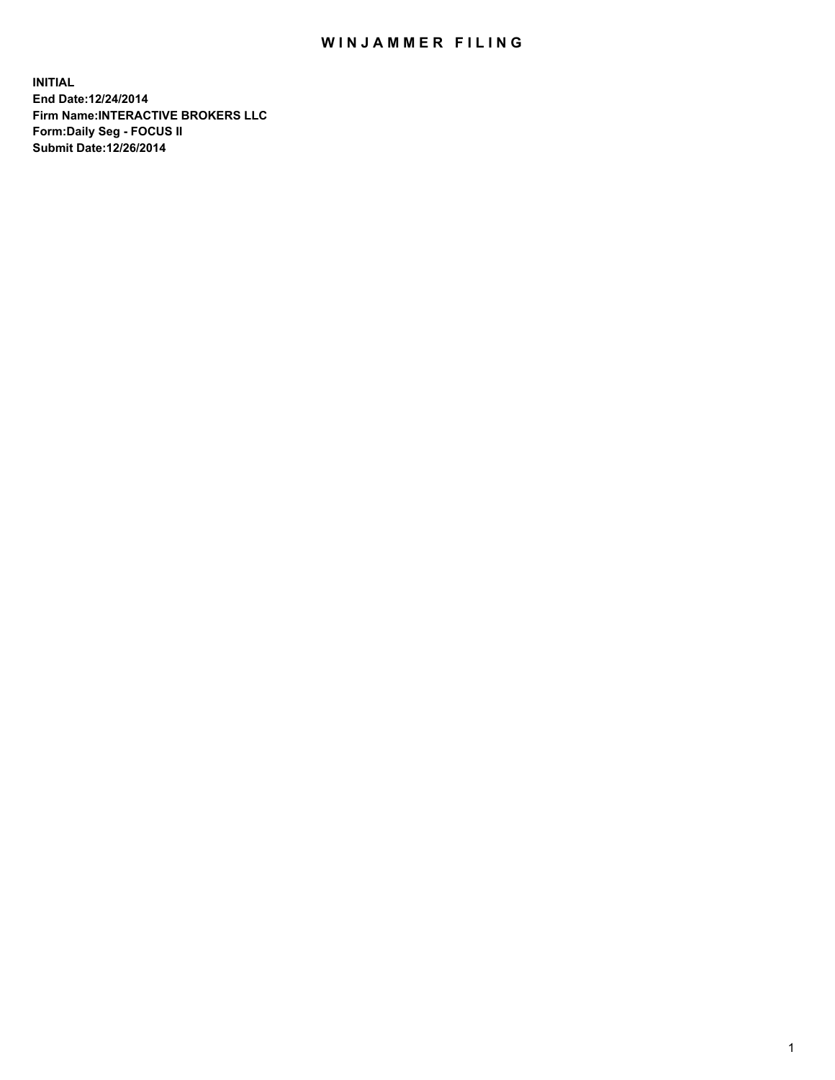## WIN JAMMER FILING

**INITIAL End Date:12/24/2014 Firm Name:INTERACTIVE BROKERS LLC Form:Daily Seg - FOCUS II Submit Date:12/26/2014**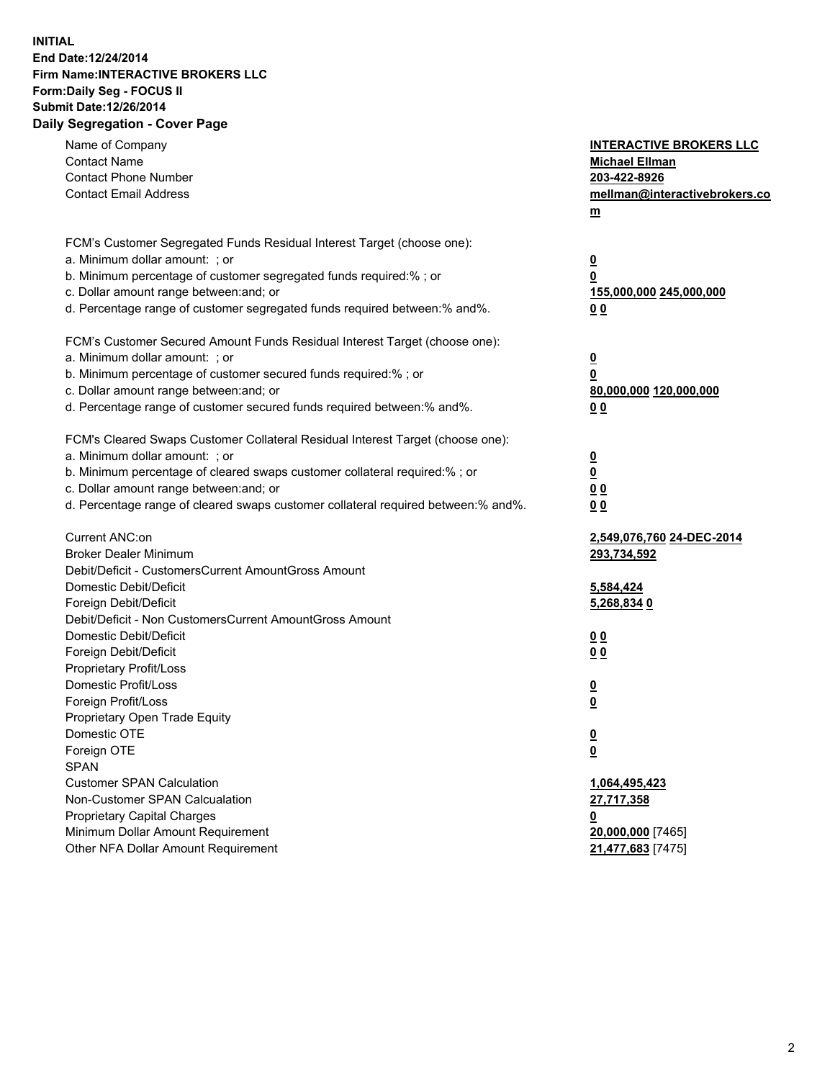## **INITIAL End Date:12/24/2014 Firm Name:INTERACTIVE BROKERS LLC Form:Daily Seg - FOCUS II Submit Date:12/26/2014 Daily Segregation - Cover Page**

| Name of Company<br><b>Contact Name</b><br><b>Contact Phone Number</b><br><b>Contact Email Address</b>                                                                                                                                                                                                                          | <b>INTERACTIVE BROKERS LLC</b><br><b>Michael Ellman</b><br>203-422-8926<br>mellman@interactivebrokers.co<br>$m$ |
|--------------------------------------------------------------------------------------------------------------------------------------------------------------------------------------------------------------------------------------------------------------------------------------------------------------------------------|-----------------------------------------------------------------------------------------------------------------|
| FCM's Customer Segregated Funds Residual Interest Target (choose one):<br>a. Minimum dollar amount: ; or<br>b. Minimum percentage of customer segregated funds required:% ; or<br>c. Dollar amount range between: and; or<br>d. Percentage range of customer segregated funds required between:% and%.                         | $\overline{\mathbf{0}}$<br>0<br>155,000,000 245,000,000<br>0 <sub>0</sub>                                       |
| FCM's Customer Secured Amount Funds Residual Interest Target (choose one):<br>a. Minimum dollar amount: ; or<br>b. Minimum percentage of customer secured funds required:% ; or<br>c. Dollar amount range between: and; or<br>d. Percentage range of customer secured funds required between:% and%.                           | $\overline{\mathbf{0}}$<br>0<br>80,000,000 120,000,000<br>0 <sub>0</sub>                                        |
| FCM's Cleared Swaps Customer Collateral Residual Interest Target (choose one):<br>a. Minimum dollar amount: ; or<br>b. Minimum percentage of cleared swaps customer collateral required:% ; or<br>c. Dollar amount range between: and; or<br>d. Percentage range of cleared swaps customer collateral required between:% and%. | $\overline{\mathbf{0}}$<br>$\underline{\mathbf{0}}$<br>0 <sub>0</sub><br>0 <sub>0</sub>                         |
| Current ANC:on<br><b>Broker Dealer Minimum</b><br>Debit/Deficit - CustomersCurrent AmountGross Amount<br>Domestic Debit/Deficit<br>Foreign Debit/Deficit                                                                                                                                                                       | 2,549,076,760 24-DEC-2014<br>293,734,592<br>5,584,424<br>5,268,834 0                                            |
| Debit/Deficit - Non CustomersCurrent AmountGross Amount<br>Domestic Debit/Deficit<br>Foreign Debit/Deficit<br>Proprietary Profit/Loss<br>Domestic Profit/Loss<br>Foreign Profit/Loss                                                                                                                                           | 0 <sub>0</sub><br>0 <sub>0</sub><br>$\overline{\mathbf{0}}$<br>$\overline{\mathbf{0}}$                          |
| Proprietary Open Trade Equity<br>Domestic OTE<br>Foreign OTE<br><b>SPAN</b><br><b>Customer SPAN Calculation</b><br>Non-Customer SPAN Calcualation                                                                                                                                                                              | $\underline{\mathbf{0}}$<br><u>0</u><br>1,064,495,423<br>27,717,358                                             |
| Proprietary Capital Charges<br>Minimum Dollar Amount Requirement<br>Other NFA Dollar Amount Requirement                                                                                                                                                                                                                        | <u>0</u><br>20,000,000 [7465]<br>21,477,683 [7475]                                                              |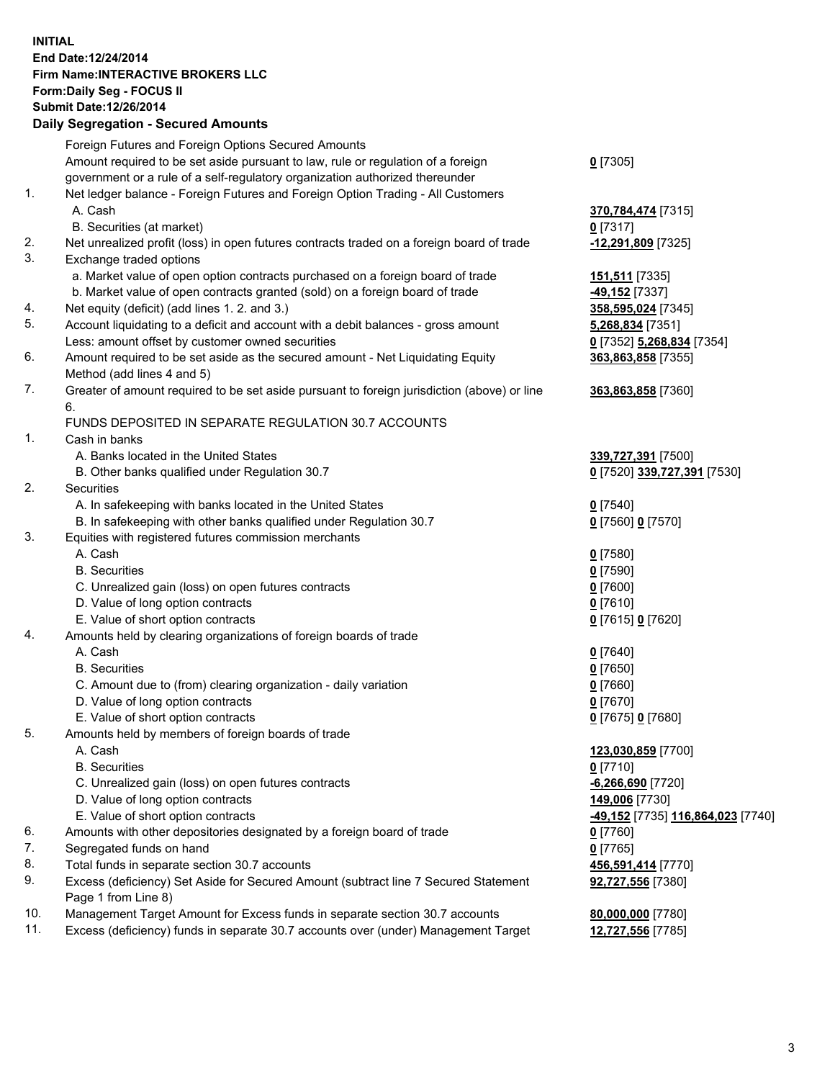## **INITIAL End Date:12/24/2014 Firm Name:INTERACTIVE BROKERS LLC Form:Daily Seg - FOCUS II Submit Date:12/26/2014 Daily Segregation - Secured Amounts**

| Foreign Futures and Foreign Options Secured Amounts                                       |                                                                                                                                                                                                                                                                                                                                                                                                                                                                                                                                                                                                                                                                                                                                                                                                                                                                                                                                                                                                                                                                                                                                                                                                                                                                                                                                                                                                                                                                                                                                                                                                                                                                                                                                                                                                                                                           |
|-------------------------------------------------------------------------------------------|-----------------------------------------------------------------------------------------------------------------------------------------------------------------------------------------------------------------------------------------------------------------------------------------------------------------------------------------------------------------------------------------------------------------------------------------------------------------------------------------------------------------------------------------------------------------------------------------------------------------------------------------------------------------------------------------------------------------------------------------------------------------------------------------------------------------------------------------------------------------------------------------------------------------------------------------------------------------------------------------------------------------------------------------------------------------------------------------------------------------------------------------------------------------------------------------------------------------------------------------------------------------------------------------------------------------------------------------------------------------------------------------------------------------------------------------------------------------------------------------------------------------------------------------------------------------------------------------------------------------------------------------------------------------------------------------------------------------------------------------------------------------------------------------------------------------------------------------------------------|
| Amount required to be set aside pursuant to law, rule or regulation of a foreign          | $0$ [7305]                                                                                                                                                                                                                                                                                                                                                                                                                                                                                                                                                                                                                                                                                                                                                                                                                                                                                                                                                                                                                                                                                                                                                                                                                                                                                                                                                                                                                                                                                                                                                                                                                                                                                                                                                                                                                                                |
| government or a rule of a self-regulatory organization authorized thereunder              |                                                                                                                                                                                                                                                                                                                                                                                                                                                                                                                                                                                                                                                                                                                                                                                                                                                                                                                                                                                                                                                                                                                                                                                                                                                                                                                                                                                                                                                                                                                                                                                                                                                                                                                                                                                                                                                           |
| Net ledger balance - Foreign Futures and Foreign Option Trading - All Customers           |                                                                                                                                                                                                                                                                                                                                                                                                                                                                                                                                                                                                                                                                                                                                                                                                                                                                                                                                                                                                                                                                                                                                                                                                                                                                                                                                                                                                                                                                                                                                                                                                                                                                                                                                                                                                                                                           |
| A. Cash                                                                                   | 370,784,474 [7315]                                                                                                                                                                                                                                                                                                                                                                                                                                                                                                                                                                                                                                                                                                                                                                                                                                                                                                                                                                                                                                                                                                                                                                                                                                                                                                                                                                                                                                                                                                                                                                                                                                                                                                                                                                                                                                        |
| B. Securities (at market)                                                                 | $0$ [7317]                                                                                                                                                                                                                                                                                                                                                                                                                                                                                                                                                                                                                                                                                                                                                                                                                                                                                                                                                                                                                                                                                                                                                                                                                                                                                                                                                                                                                                                                                                                                                                                                                                                                                                                                                                                                                                                |
| Net unrealized profit (loss) in open futures contracts traded on a foreign board of trade | -12,291,809 [7325]                                                                                                                                                                                                                                                                                                                                                                                                                                                                                                                                                                                                                                                                                                                                                                                                                                                                                                                                                                                                                                                                                                                                                                                                                                                                                                                                                                                                                                                                                                                                                                                                                                                                                                                                                                                                                                        |
| Exchange traded options                                                                   |                                                                                                                                                                                                                                                                                                                                                                                                                                                                                                                                                                                                                                                                                                                                                                                                                                                                                                                                                                                                                                                                                                                                                                                                                                                                                                                                                                                                                                                                                                                                                                                                                                                                                                                                                                                                                                                           |
|                                                                                           | 151,511 [7335]                                                                                                                                                                                                                                                                                                                                                                                                                                                                                                                                                                                                                                                                                                                                                                                                                                                                                                                                                                                                                                                                                                                                                                                                                                                                                                                                                                                                                                                                                                                                                                                                                                                                                                                                                                                                                                            |
|                                                                                           | -49,152 <sup>[7337]</sup>                                                                                                                                                                                                                                                                                                                                                                                                                                                                                                                                                                                                                                                                                                                                                                                                                                                                                                                                                                                                                                                                                                                                                                                                                                                                                                                                                                                                                                                                                                                                                                                                                                                                                                                                                                                                                                 |
|                                                                                           | 358,595,024 [7345]                                                                                                                                                                                                                                                                                                                                                                                                                                                                                                                                                                                                                                                                                                                                                                                                                                                                                                                                                                                                                                                                                                                                                                                                                                                                                                                                                                                                                                                                                                                                                                                                                                                                                                                                                                                                                                        |
|                                                                                           | 5,268,834 [7351]                                                                                                                                                                                                                                                                                                                                                                                                                                                                                                                                                                                                                                                                                                                                                                                                                                                                                                                                                                                                                                                                                                                                                                                                                                                                                                                                                                                                                                                                                                                                                                                                                                                                                                                                                                                                                                          |
|                                                                                           | 0 [7352] 5,268,834 [7354]                                                                                                                                                                                                                                                                                                                                                                                                                                                                                                                                                                                                                                                                                                                                                                                                                                                                                                                                                                                                                                                                                                                                                                                                                                                                                                                                                                                                                                                                                                                                                                                                                                                                                                                                                                                                                                 |
|                                                                                           | 363,863,858 [7355]                                                                                                                                                                                                                                                                                                                                                                                                                                                                                                                                                                                                                                                                                                                                                                                                                                                                                                                                                                                                                                                                                                                                                                                                                                                                                                                                                                                                                                                                                                                                                                                                                                                                                                                                                                                                                                        |
|                                                                                           |                                                                                                                                                                                                                                                                                                                                                                                                                                                                                                                                                                                                                                                                                                                                                                                                                                                                                                                                                                                                                                                                                                                                                                                                                                                                                                                                                                                                                                                                                                                                                                                                                                                                                                                                                                                                                                                           |
|                                                                                           | 363,863,858 [7360]                                                                                                                                                                                                                                                                                                                                                                                                                                                                                                                                                                                                                                                                                                                                                                                                                                                                                                                                                                                                                                                                                                                                                                                                                                                                                                                                                                                                                                                                                                                                                                                                                                                                                                                                                                                                                                        |
| 6.                                                                                        |                                                                                                                                                                                                                                                                                                                                                                                                                                                                                                                                                                                                                                                                                                                                                                                                                                                                                                                                                                                                                                                                                                                                                                                                                                                                                                                                                                                                                                                                                                                                                                                                                                                                                                                                                                                                                                                           |
|                                                                                           |                                                                                                                                                                                                                                                                                                                                                                                                                                                                                                                                                                                                                                                                                                                                                                                                                                                                                                                                                                                                                                                                                                                                                                                                                                                                                                                                                                                                                                                                                                                                                                                                                                                                                                                                                                                                                                                           |
|                                                                                           |                                                                                                                                                                                                                                                                                                                                                                                                                                                                                                                                                                                                                                                                                                                                                                                                                                                                                                                                                                                                                                                                                                                                                                                                                                                                                                                                                                                                                                                                                                                                                                                                                                                                                                                                                                                                                                                           |
|                                                                                           | 339,727,391 [7500]                                                                                                                                                                                                                                                                                                                                                                                                                                                                                                                                                                                                                                                                                                                                                                                                                                                                                                                                                                                                                                                                                                                                                                                                                                                                                                                                                                                                                                                                                                                                                                                                                                                                                                                                                                                                                                        |
|                                                                                           | 0 [7520] 339,727,391 [7530]                                                                                                                                                                                                                                                                                                                                                                                                                                                                                                                                                                                                                                                                                                                                                                                                                                                                                                                                                                                                                                                                                                                                                                                                                                                                                                                                                                                                                                                                                                                                                                                                                                                                                                                                                                                                                               |
|                                                                                           |                                                                                                                                                                                                                                                                                                                                                                                                                                                                                                                                                                                                                                                                                                                                                                                                                                                                                                                                                                                                                                                                                                                                                                                                                                                                                                                                                                                                                                                                                                                                                                                                                                                                                                                                                                                                                                                           |
|                                                                                           | $0$ [7540]                                                                                                                                                                                                                                                                                                                                                                                                                                                                                                                                                                                                                                                                                                                                                                                                                                                                                                                                                                                                                                                                                                                                                                                                                                                                                                                                                                                                                                                                                                                                                                                                                                                                                                                                                                                                                                                |
|                                                                                           | 0 [7560] 0 [7570]                                                                                                                                                                                                                                                                                                                                                                                                                                                                                                                                                                                                                                                                                                                                                                                                                                                                                                                                                                                                                                                                                                                                                                                                                                                                                                                                                                                                                                                                                                                                                                                                                                                                                                                                                                                                                                         |
|                                                                                           |                                                                                                                                                                                                                                                                                                                                                                                                                                                                                                                                                                                                                                                                                                                                                                                                                                                                                                                                                                                                                                                                                                                                                                                                                                                                                                                                                                                                                                                                                                                                                                                                                                                                                                                                                                                                                                                           |
|                                                                                           | $0$ [7580]                                                                                                                                                                                                                                                                                                                                                                                                                                                                                                                                                                                                                                                                                                                                                                                                                                                                                                                                                                                                                                                                                                                                                                                                                                                                                                                                                                                                                                                                                                                                                                                                                                                                                                                                                                                                                                                |
|                                                                                           | $0$ [7590]                                                                                                                                                                                                                                                                                                                                                                                                                                                                                                                                                                                                                                                                                                                                                                                                                                                                                                                                                                                                                                                                                                                                                                                                                                                                                                                                                                                                                                                                                                                                                                                                                                                                                                                                                                                                                                                |
|                                                                                           | $0$ [7600]                                                                                                                                                                                                                                                                                                                                                                                                                                                                                                                                                                                                                                                                                                                                                                                                                                                                                                                                                                                                                                                                                                                                                                                                                                                                                                                                                                                                                                                                                                                                                                                                                                                                                                                                                                                                                                                |
|                                                                                           | $0$ [7610]                                                                                                                                                                                                                                                                                                                                                                                                                                                                                                                                                                                                                                                                                                                                                                                                                                                                                                                                                                                                                                                                                                                                                                                                                                                                                                                                                                                                                                                                                                                                                                                                                                                                                                                                                                                                                                                |
|                                                                                           | 0 [7615] 0 [7620]                                                                                                                                                                                                                                                                                                                                                                                                                                                                                                                                                                                                                                                                                                                                                                                                                                                                                                                                                                                                                                                                                                                                                                                                                                                                                                                                                                                                                                                                                                                                                                                                                                                                                                                                                                                                                                         |
|                                                                                           |                                                                                                                                                                                                                                                                                                                                                                                                                                                                                                                                                                                                                                                                                                                                                                                                                                                                                                                                                                                                                                                                                                                                                                                                                                                                                                                                                                                                                                                                                                                                                                                                                                                                                                                                                                                                                                                           |
|                                                                                           | $0$ [7640]                                                                                                                                                                                                                                                                                                                                                                                                                                                                                                                                                                                                                                                                                                                                                                                                                                                                                                                                                                                                                                                                                                                                                                                                                                                                                                                                                                                                                                                                                                                                                                                                                                                                                                                                                                                                                                                |
|                                                                                           | $0$ [7650]                                                                                                                                                                                                                                                                                                                                                                                                                                                                                                                                                                                                                                                                                                                                                                                                                                                                                                                                                                                                                                                                                                                                                                                                                                                                                                                                                                                                                                                                                                                                                                                                                                                                                                                                                                                                                                                |
|                                                                                           | $0$ [7660]                                                                                                                                                                                                                                                                                                                                                                                                                                                                                                                                                                                                                                                                                                                                                                                                                                                                                                                                                                                                                                                                                                                                                                                                                                                                                                                                                                                                                                                                                                                                                                                                                                                                                                                                                                                                                                                |
|                                                                                           | $0$ [7670]                                                                                                                                                                                                                                                                                                                                                                                                                                                                                                                                                                                                                                                                                                                                                                                                                                                                                                                                                                                                                                                                                                                                                                                                                                                                                                                                                                                                                                                                                                                                                                                                                                                                                                                                                                                                                                                |
|                                                                                           | 0 [7675] 0 [7680]                                                                                                                                                                                                                                                                                                                                                                                                                                                                                                                                                                                                                                                                                                                                                                                                                                                                                                                                                                                                                                                                                                                                                                                                                                                                                                                                                                                                                                                                                                                                                                                                                                                                                                                                                                                                                                         |
|                                                                                           |                                                                                                                                                                                                                                                                                                                                                                                                                                                                                                                                                                                                                                                                                                                                                                                                                                                                                                                                                                                                                                                                                                                                                                                                                                                                                                                                                                                                                                                                                                                                                                                                                                                                                                                                                                                                                                                           |
|                                                                                           | 123,030,859 [7700]<br>$0$ [7710]                                                                                                                                                                                                                                                                                                                                                                                                                                                                                                                                                                                                                                                                                                                                                                                                                                                                                                                                                                                                                                                                                                                                                                                                                                                                                                                                                                                                                                                                                                                                                                                                                                                                                                                                                                                                                          |
|                                                                                           |                                                                                                                                                                                                                                                                                                                                                                                                                                                                                                                                                                                                                                                                                                                                                                                                                                                                                                                                                                                                                                                                                                                                                                                                                                                                                                                                                                                                                                                                                                                                                                                                                                                                                                                                                                                                                                                           |
|                                                                                           | -6,266,690 <sup>[7720]</sup><br>149,006 [7730]                                                                                                                                                                                                                                                                                                                                                                                                                                                                                                                                                                                                                                                                                                                                                                                                                                                                                                                                                                                                                                                                                                                                                                                                                                                                                                                                                                                                                                                                                                                                                                                                                                                                                                                                                                                                            |
|                                                                                           | -49,152 [7735] 116,864,023 [7740]                                                                                                                                                                                                                                                                                                                                                                                                                                                                                                                                                                                                                                                                                                                                                                                                                                                                                                                                                                                                                                                                                                                                                                                                                                                                                                                                                                                                                                                                                                                                                                                                                                                                                                                                                                                                                         |
|                                                                                           | $0$ [7760]                                                                                                                                                                                                                                                                                                                                                                                                                                                                                                                                                                                                                                                                                                                                                                                                                                                                                                                                                                                                                                                                                                                                                                                                                                                                                                                                                                                                                                                                                                                                                                                                                                                                                                                                                                                                                                                |
|                                                                                           | $0$ [7765]                                                                                                                                                                                                                                                                                                                                                                                                                                                                                                                                                                                                                                                                                                                                                                                                                                                                                                                                                                                                                                                                                                                                                                                                                                                                                                                                                                                                                                                                                                                                                                                                                                                                                                                                                                                                                                                |
|                                                                                           | 456,591,414 [7770]                                                                                                                                                                                                                                                                                                                                                                                                                                                                                                                                                                                                                                                                                                                                                                                                                                                                                                                                                                                                                                                                                                                                                                                                                                                                                                                                                                                                                                                                                                                                                                                                                                                                                                                                                                                                                                        |
|                                                                                           | 92,727,556 [7380]                                                                                                                                                                                                                                                                                                                                                                                                                                                                                                                                                                                                                                                                                                                                                                                                                                                                                                                                                                                                                                                                                                                                                                                                                                                                                                                                                                                                                                                                                                                                                                                                                                                                                                                                                                                                                                         |
| Page 1 from Line 8)                                                                       |                                                                                                                                                                                                                                                                                                                                                                                                                                                                                                                                                                                                                                                                                                                                                                                                                                                                                                                                                                                                                                                                                                                                                                                                                                                                                                                                                                                                                                                                                                                                                                                                                                                                                                                                                                                                                                                           |
| Management Target Amount for Excess funds in separate section 30.7 accounts               | 80,000,000 [7780]                                                                                                                                                                                                                                                                                                                                                                                                                                                                                                                                                                                                                                                                                                                                                                                                                                                                                                                                                                                                                                                                                                                                                                                                                                                                                                                                                                                                                                                                                                                                                                                                                                                                                                                                                                                                                                         |
| Excess (deficiency) funds in separate 30.7 accounts over (under) Management Target        | 12,727,556 [7785]                                                                                                                                                                                                                                                                                                                                                                                                                                                                                                                                                                                                                                                                                                                                                                                                                                                                                                                                                                                                                                                                                                                                                                                                                                                                                                                                                                                                                                                                                                                                                                                                                                                                                                                                                                                                                                         |
|                                                                                           | a. Market value of open option contracts purchased on a foreign board of trade<br>b. Market value of open contracts granted (sold) on a foreign board of trade<br>Net equity (deficit) (add lines 1. 2. and 3.)<br>Account liquidating to a deficit and account with a debit balances - gross amount<br>Less: amount offset by customer owned securities<br>Amount required to be set aside as the secured amount - Net Liquidating Equity<br>Method (add lines 4 and 5)<br>Greater of amount required to be set aside pursuant to foreign jurisdiction (above) or line<br>FUNDS DEPOSITED IN SEPARATE REGULATION 30.7 ACCOUNTS<br>Cash in banks<br>A. Banks located in the United States<br>B. Other banks qualified under Regulation 30.7<br>Securities<br>A. In safekeeping with banks located in the United States<br>B. In safekeeping with other banks qualified under Regulation 30.7<br>Equities with registered futures commission merchants<br>A. Cash<br><b>B.</b> Securities<br>C. Unrealized gain (loss) on open futures contracts<br>D. Value of long option contracts<br>E. Value of short option contracts<br>Amounts held by clearing organizations of foreign boards of trade<br>A. Cash<br><b>B.</b> Securities<br>C. Amount due to (from) clearing organization - daily variation<br>D. Value of long option contracts<br>E. Value of short option contracts<br>Amounts held by members of foreign boards of trade<br>A. Cash<br><b>B.</b> Securities<br>C. Unrealized gain (loss) on open futures contracts<br>D. Value of long option contracts<br>E. Value of short option contracts<br>Amounts with other depositories designated by a foreign board of trade<br>Segregated funds on hand<br>Total funds in separate section 30.7 accounts<br>Excess (deficiency) Set Aside for Secured Amount (subtract line 7 Secured Statement |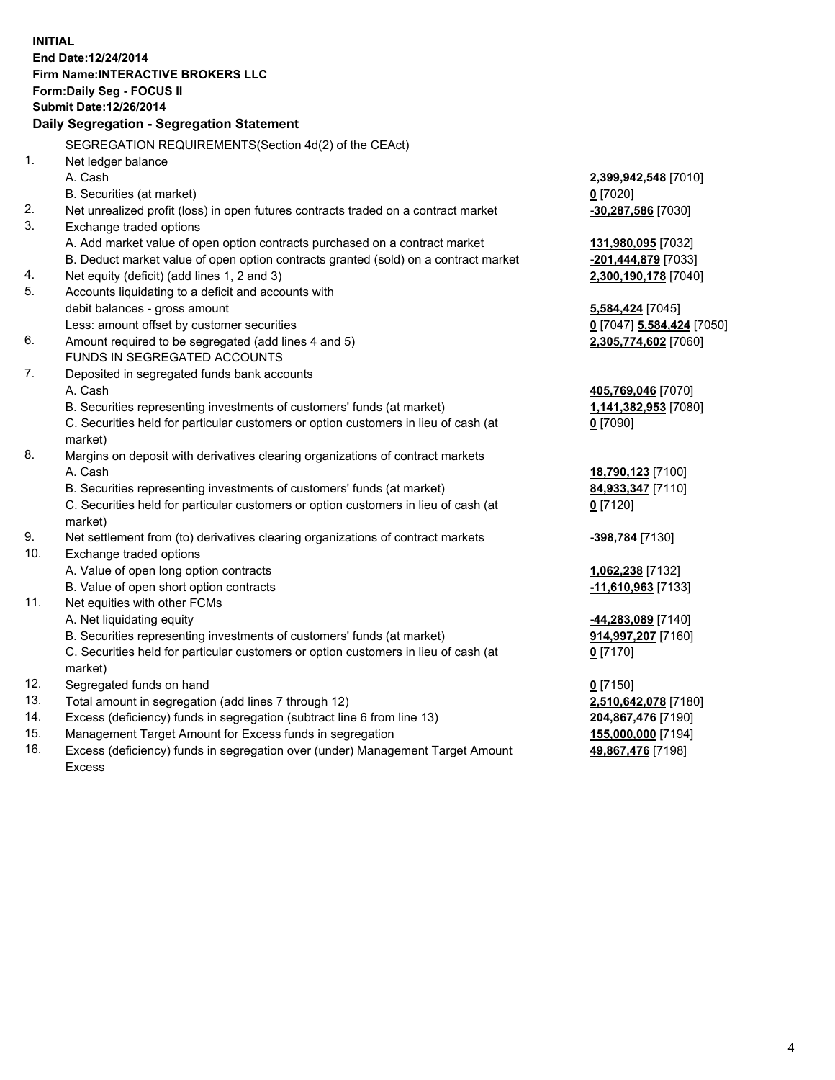**INITIAL End Date:12/24/2014 Firm Name:INTERACTIVE BROKERS LLC Form:Daily Seg - FOCUS II Submit Date:12/26/2014 Daily Segregation - Segregation Statement** SEGREGATION REQUIREMENTS(Section 4d(2) of the CEAct) 1. Net ledger balance A. Cash **2,399,942,548** [7010] B. Securities (at market) **0** [7020] 2. Net unrealized profit (loss) in open futures contracts traded on a contract market **-30,287,586** [7030] 3. Exchange traded options A. Add market value of open option contracts purchased on a contract market **131,980,095** [7032] B. Deduct market value of open option contracts granted (sold) on a contract market **-201,444,879** [7033] 4. Net equity (deficit) (add lines 1, 2 and 3) **2,300,190,178** [7040] 5. Accounts liquidating to a deficit and accounts with debit balances - gross amount **5,584,424** [7045] Less: amount offset by customer securities **0** [7047] **5,584,424** [7050] 6. Amount required to be segregated (add lines 4 and 5) **2,305,774,602** [7060] FUNDS IN SEGREGATED ACCOUNTS 7. Deposited in segregated funds bank accounts A. Cash **405,769,046** [7070] B. Securities representing investments of customers' funds (at market) **1,141,382,953** [7080] C. Securities held for particular customers or option customers in lieu of cash (at market) **0** [7090] 8. Margins on deposit with derivatives clearing organizations of contract markets A. Cash **18,790,123** [7100] B. Securities representing investments of customers' funds (at market) **84,933,347** [7110] C. Securities held for particular customers or option customers in lieu of cash (at market) **0** [7120] 9. Net settlement from (to) derivatives clearing organizations of contract markets **-398,784** [7130] 10. Exchange traded options A. Value of open long option contracts **1,062,238** [7132] B. Value of open short option contracts **-11,610,963** [7133] 11. Net equities with other FCMs A. Net liquidating equity **-44,283,089** [7140] B. Securities representing investments of customers' funds (at market) **914,997,207** [7160] C. Securities held for particular customers or option customers in lieu of cash (at market) **0** [7170] 12. Segregated funds on hand **0** [7150] 13. Total amount in segregation (add lines 7 through 12) **2,510,642,078** [7180] 14. Excess (deficiency) funds in segregation (subtract line 6 from line 13) **204,867,476** [7190] 15. Management Target Amount for Excess funds in segregation **155,000,000** [7194]

16. Excess (deficiency) funds in segregation over (under) Management Target Amount Excess

**49,867,476** [7198]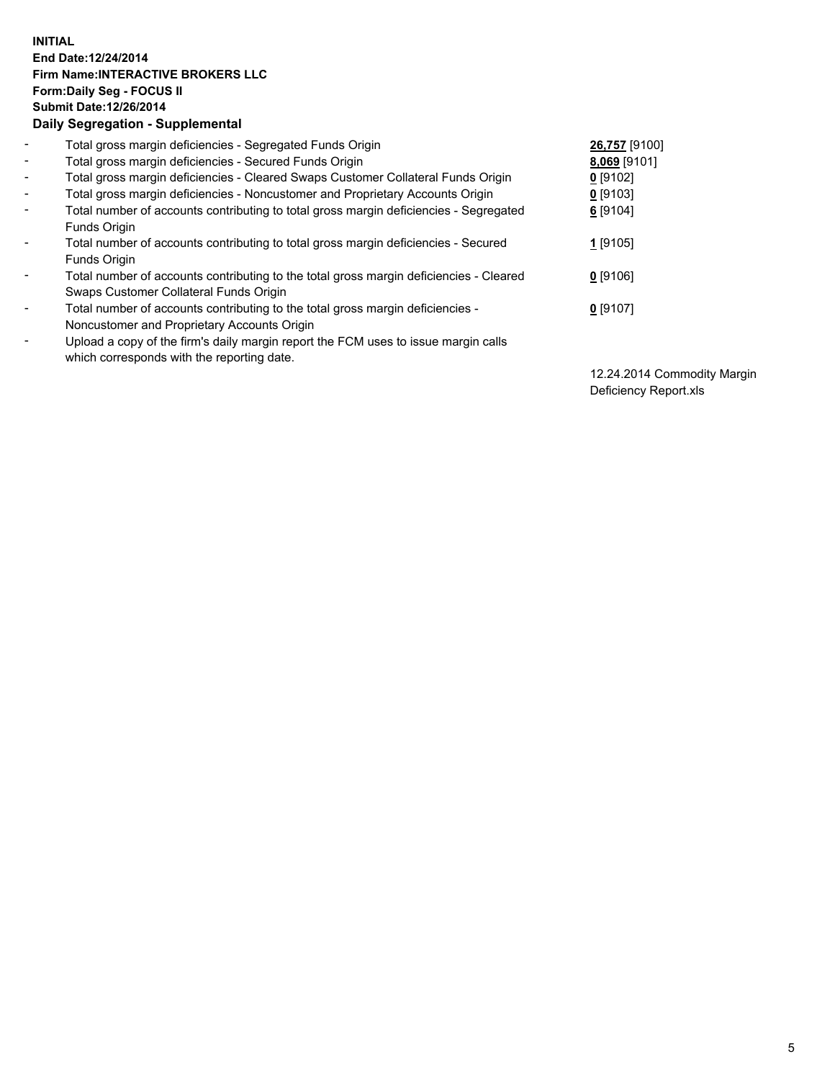## **INITIAL End Date:12/24/2014 Firm Name:INTERACTIVE BROKERS LLC Form:Daily Seg - FOCUS II Submit Date:12/26/2014 Daily Segregation - Supplemental**

| $\blacksquare$           | Total gross margin deficiencies - Segregated Funds Origin                              | 26,757 [9100] |
|--------------------------|----------------------------------------------------------------------------------------|---------------|
| $\blacksquare$           | Total gross margin deficiencies - Secured Funds Origin                                 | 8,069 [9101]  |
| $\blacksquare$           | Total gross margin deficiencies - Cleared Swaps Customer Collateral Funds Origin       | $0$ [9102]    |
| $\blacksquare$           | Total gross margin deficiencies - Noncustomer and Proprietary Accounts Origin          | $0$ [9103]    |
| $\blacksquare$           | Total number of accounts contributing to total gross margin deficiencies - Segregated  | 6 [9104]      |
|                          | <b>Funds Origin</b>                                                                    |               |
| $\blacksquare$           | Total number of accounts contributing to total gross margin deficiencies - Secured     | $1$ [9105]    |
|                          | <b>Funds Origin</b>                                                                    |               |
| $\blacksquare$           | Total number of accounts contributing to the total gross margin deficiencies - Cleared | $0$ [9106]    |
|                          | Swaps Customer Collateral Funds Origin                                                 |               |
| $\blacksquare$           | Total number of accounts contributing to the total gross margin deficiencies -         | $0$ [9107]    |
|                          | Noncustomer and Proprietary Accounts Origin                                            |               |
| $\overline{\phantom{a}}$ | Upload a copy of the firm's daily margin report the FCM uses to issue margin calls     |               |
|                          | which corresponds with the reporting date.                                             |               |

12.24.2014 Commodity Margin Deficiency Report.xls